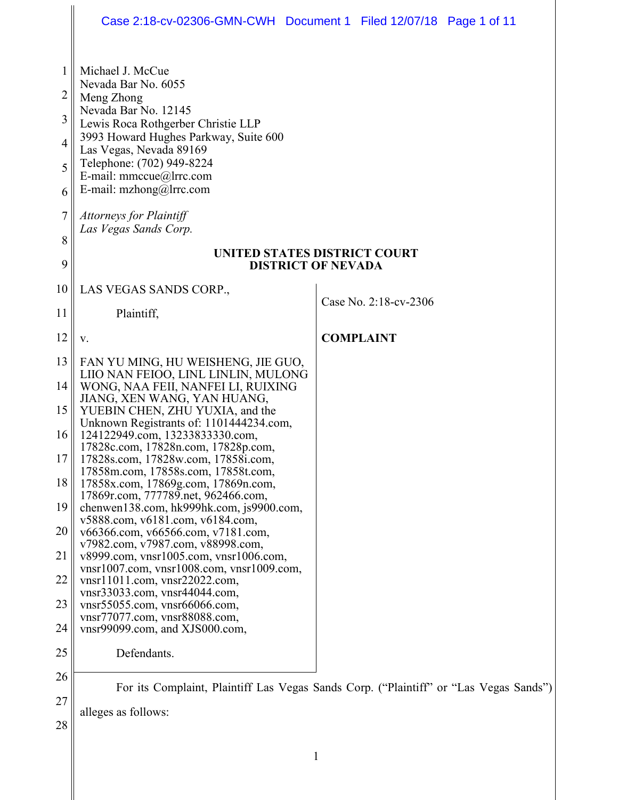|                                                                                  | Case 2:18-cv-02306-GMN-CWH  Document 1  Filed 12/07/18  Page 1 of 11                                                                                                                                                                                                                                                                                                                                                                                                                                                                                                                                                                                                                                                                                                                                                                                                                                                     |   |                       |  |  |  |  |
|----------------------------------------------------------------------------------|--------------------------------------------------------------------------------------------------------------------------------------------------------------------------------------------------------------------------------------------------------------------------------------------------------------------------------------------------------------------------------------------------------------------------------------------------------------------------------------------------------------------------------------------------------------------------------------------------------------------------------------------------------------------------------------------------------------------------------------------------------------------------------------------------------------------------------------------------------------------------------------------------------------------------|---|-----------------------|--|--|--|--|
| 1<br>2<br>3<br>4<br>5<br>6<br>7<br>8                                             | Michael J. McCue<br>Nevada Bar No. 6055<br>Meng Zhong<br>Nevada Bar No. 12145<br>Lewis Roca Rothgerber Christie LLP<br>3993 Howard Hughes Parkway, Suite 600<br>Las Vegas, Nevada 89169<br>Telephone: (702) 949-8224<br>E-mail: mmccue@lrrc.com<br>E-mail: $mzhong@$ Irrc.com<br><b>Attorneys for Plaintiff</b><br>Las Vegas Sands Corp.                                                                                                                                                                                                                                                                                                                                                                                                                                                                                                                                                                                 |   |                       |  |  |  |  |
| 9                                                                                | UNITED STATES DISTRICT COURT<br><b>DISTRICT OF NEVADA</b>                                                                                                                                                                                                                                                                                                                                                                                                                                                                                                                                                                                                                                                                                                                                                                                                                                                                |   |                       |  |  |  |  |
| 10<br>11                                                                         | LAS VEGAS SANDS CORP.,                                                                                                                                                                                                                                                                                                                                                                                                                                                                                                                                                                                                                                                                                                                                                                                                                                                                                                   |   | Case No. 2:18-cv-2306 |  |  |  |  |
| 12                                                                               | Plaintiff,<br>V.                                                                                                                                                                                                                                                                                                                                                                                                                                                                                                                                                                                                                                                                                                                                                                                                                                                                                                         |   | <b>COMPLAINT</b>      |  |  |  |  |
| 13<br>14<br>15<br>16<br>17<br>18<br>19<br>20<br>21<br>22<br>23<br>24<br>25<br>26 | FAN YU MING, HU WEISHENG, JIE GUO,<br>LIIO NAN FEIOO, LINL LINLIN, MULONG<br>WONG, NAA FEII, NANFEI LI, RUIXING<br>JIANG, XEN WANG, YAN HUANG,<br>YUEBIN CHEN, ZHU YUXIA, and the<br>Unknown Registrants of: 1101444234.com,<br>124122949.com, 13233833330.com,<br>17828c.com, 17828n.com, 17828p.com,<br>17828s.com, 17828w.com, 17858i.com,<br>17858m.com, 17858s.com, 17858t.com,<br>17858x.com, 17869g.com, 17869n.com,<br>17869r.com, 777789.net, 962466.com,<br>chenwen138.com, hk999hk.com, js9900.com,<br>v5888.com, v6181.com, v6184.com,<br>v66366.com, v66566.com, v7181.com,<br>v7982.com, v7987.com, v88998.com,<br>v8999.com, vnsr1005.com, vnsr1006.com,<br>$vnsr1007.com$ , $vnsr1008.com$ , $vnsr1009.com$ ,<br>vnsr11011.com, vnsr22022.com,<br>vnsr33033.com, vnsr44044.com,<br>$vnsr55055.com$ , $vnsr66066.com$ ,<br>vnsr77077.com, vnsr88088.com,<br>vnsr99099.com, and XJS000.com,<br>Defendants. |   |                       |  |  |  |  |
| 27<br>28                                                                         | For its Complaint, Plaintiff Las Vegas Sands Corp. ("Plaintiff" or "Las Vegas Sands")<br>alleges as follows:                                                                                                                                                                                                                                                                                                                                                                                                                                                                                                                                                                                                                                                                                                                                                                                                             |   |                       |  |  |  |  |
|                                                                                  |                                                                                                                                                                                                                                                                                                                                                                                                                                                                                                                                                                                                                                                                                                                                                                                                                                                                                                                          | 1 |                       |  |  |  |  |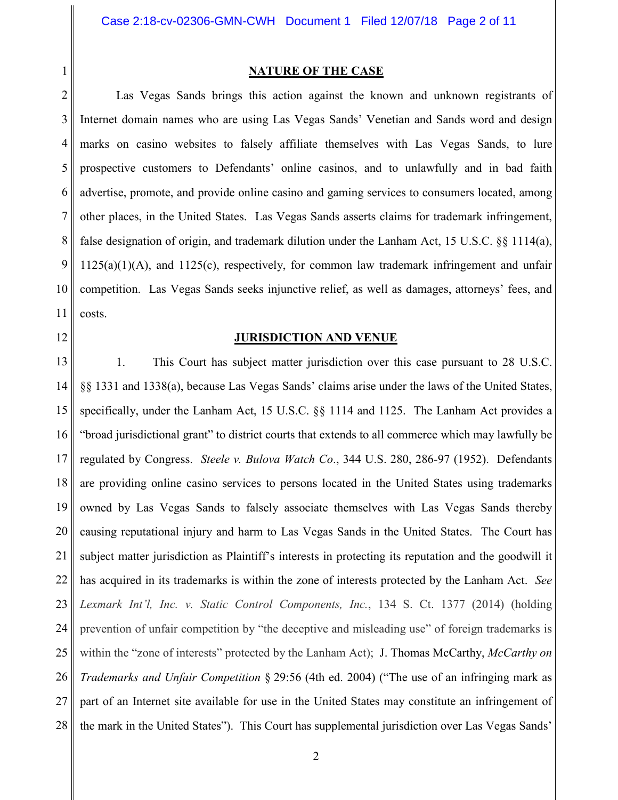## **NATURE OF THE CASE**

2 3 4 5 6 7 8 9 10 11 Las Vegas Sands brings this action against the known and unknown registrants of Internet domain names who are using Las Vegas Sands' Venetian and Sands word and design marks on casino websites to falsely affiliate themselves with Las Vegas Sands, to lure prospective customers to Defendants' online casinos, and to unlawfully and in bad faith advertise, promote, and provide online casino and gaming services to consumers located, among other places, in the United States. Las Vegas Sands asserts claims for trademark infringement, false designation of origin, and trademark dilution under the Lanham Act, 15 U.S.C. §§ 1114(a), 1125(a)(1)(A), and 1125(c), respectively, for common law trademark infringement and unfair competition. Las Vegas Sands seeks injunctive relief, as well as damages, attorneys' fees, and costs.

12

1

## **JURISDICTION AND VENUE**

13 14 15 16 17 18 19 20 21 22 23 24 25 26 27 28 1. This Court has subject matter jurisdiction over this case pursuant to 28 U.S.C. §§ 1331 and 1338(a), because Las Vegas Sands' claims arise under the laws of the United States, specifically, under the Lanham Act, 15 U.S.C. §§ 1114 and 1125. The Lanham Act provides a "broad jurisdictional grant" to district courts that extends to all commerce which may lawfully be regulated by Congress. *Steele v. Bulova Watch Co*., 344 U.S. 280, 286-97 (1952). Defendants are providing online casino services to persons located in the United States using trademarks owned by Las Vegas Sands to falsely associate themselves with Las Vegas Sands thereby causing reputational injury and harm to Las Vegas Sands in the United States. The Court has subject matter jurisdiction as Plaintiff's interests in protecting its reputation and the goodwill it has acquired in its trademarks is within the zone of interests protected by the Lanham Act. *See Lexmark Int'l, Inc. v. Static Control Components, Inc.*, 134 S. Ct. 1377 (2014) (holding prevention of unfair competition by "the deceptive and misleading use" of foreign trademarks is within the "zone of interests" protected by the Lanham Act); J. Thomas McCarthy, *McCarthy on Trademarks and Unfair Competition* § 29:56 (4th ed. 2004) ("The use of an infringing mark as part of an Internet site available for use in the United States may constitute an infringement of the mark in the United States"). This Court has supplemental jurisdiction over Las Vegas Sands'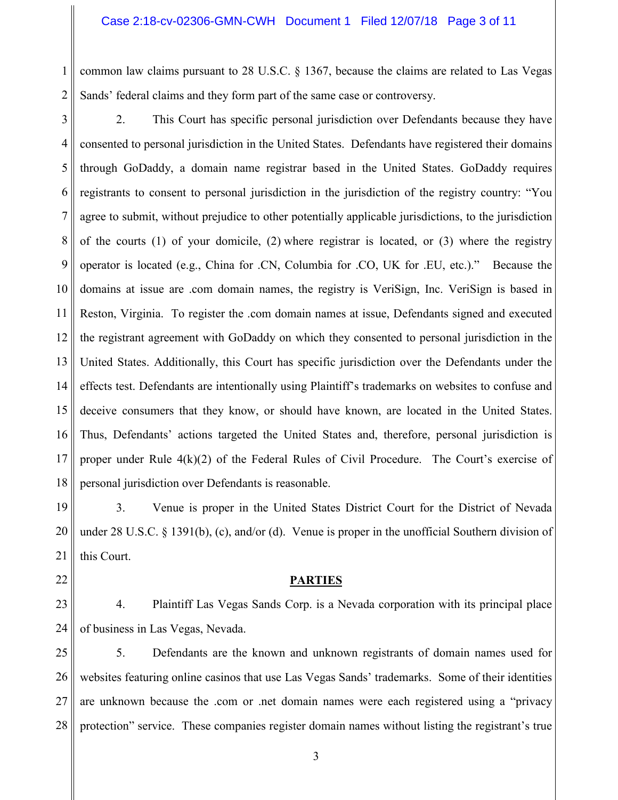1 2 common law claims pursuant to 28 U.S.C. § 1367, because the claims are related to Las Vegas Sands' federal claims and they form part of the same case or controversy.

3 4 5 6 7 8 9 10 11 12 13 14 15 16 17 18 2. This Court has specific personal jurisdiction over Defendants because they have consented to personal jurisdiction in the United States. Defendants have registered their domains through GoDaddy, a domain name registrar based in the United States. GoDaddy requires registrants to consent to personal jurisdiction in the jurisdiction of the registry country: "You agree to submit, without prejudice to other potentially applicable jurisdictions, to the jurisdiction of the courts  $(1)$  of your domicile,  $(2)$  where registrar is located, or  $(3)$  where the registry operator is located (e.g., China for .CN, Columbia for .CO, UK for .EU, etc.)." Because the domains at issue are .com domain names, the registry is VeriSign, Inc. VeriSign is based in Reston, Virginia. To register the .com domain names at issue, Defendants signed and executed the registrant agreement with GoDaddy on which they consented to personal jurisdiction in the United States. Additionally, this Court has specific jurisdiction over the Defendants under the effects test. Defendants are intentionally using Plaintiff's trademarks on websites to confuse and deceive consumers that they know, or should have known, are located in the United States. Thus, Defendants' actions targeted the United States and, therefore, personal jurisdiction is proper under Rule 4(k)(2) of the Federal Rules of Civil Procedure. The Court's exercise of personal jurisdiction over Defendants is reasonable.

19 20 21 3. Venue is proper in the United States District Court for the District of Nevada under 28 U.S.C. § 1391(b), (c), and/or (d). Venue is proper in the unofficial Southern division of this Court.

22

## **PARTIES**

23 24 4. Plaintiff Las Vegas Sands Corp. is a Nevada corporation with its principal place of business in Las Vegas, Nevada.

25 26 27 28 5. Defendants are the known and unknown registrants of domain names used for websites featuring online casinos that use Las Vegas Sands' trademarks. Some of their identities are unknown because the .com or .net domain names were each registered using a "privacy protection" service. These companies register domain names without listing the registrant's true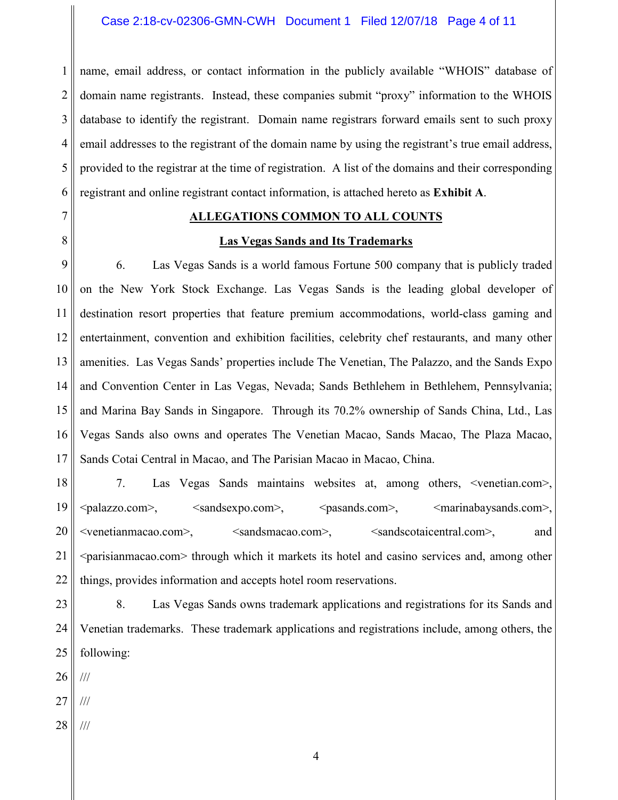## Case 2:18-cv-02306-GMN-CWH Document 1 Filed 12/07/18 Page 4 of 11

1 2 3 4 5 6 name, email address, or contact information in the publicly available "WHOIS" database of domain name registrants. Instead, these companies submit "proxy" information to the WHOIS database to identify the registrant. Domain name registrars forward emails sent to such proxy email addresses to the registrant of the domain name by using the registrant's true email address, provided to the registrar at the time of registration. A list of the domains and their corresponding registrant and online registrant contact information, is attached hereto as **Exhibit A**.

7

8

## **ALLEGATIONS COMMON TO ALL COUNTS**

## **Las Vegas Sands and Its Trademarks**

9 10 11 12 13 14 15 16 17 6. Las Vegas Sands is a world famous Fortune 500 company that is publicly traded on the New York Stock Exchange. Las Vegas Sands is the leading global developer of destination resort properties that feature premium accommodations, world-class gaming and entertainment, convention and exhibition facilities, celebrity chef restaurants, and many other amenities. Las Vegas Sands' properties include The Venetian, The Palazzo, and the Sands Expo and Convention Center in Las Vegas, Nevada; Sands Bethlehem in Bethlehem, Pennsylvania; and Marina Bay Sands in Singapore. Through its 70.2% ownership of Sands China, Ltd., Las Vegas Sands also owns and operates The Venetian Macao, Sands Macao, The Plaza Macao, Sands Cotai Central in Macao, and The Parisian Macao in Macao, China.

18 19 20 21 22 7. Las Vegas Sands maintains websites at, among others, <venetian.com>,  $\langle$  palazzo.com>,  $\langle$  sandsexpo.com>,  $\langle$  pasands.com>,  $\langle$  marinabaysands.com>, <venetianmacao.com>, <sandsmacao.com>, <sandscotaicentral.com>, and <parisianmacao.com> through which it markets its hotel and casino services and, among other things, provides information and accepts hotel room reservations.

23

24 25 8. Las Vegas Sands owns trademark applications and registrations for its Sands and Venetian trademarks. These trademark applications and registrations include, among others, the following:

- 26 ///
- 27 ///
- 28 ///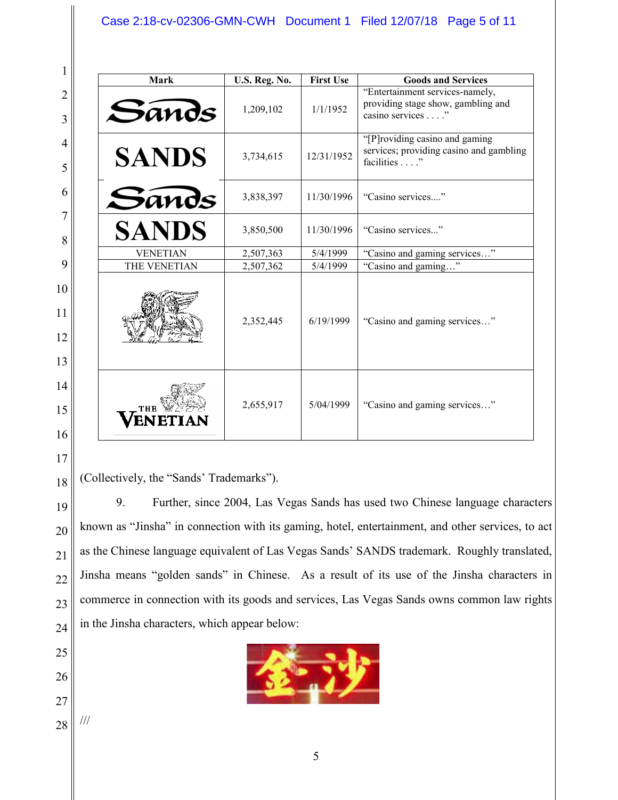| <b>Mark</b>     | U.S. Reg. No. | <b>First Use</b> | <b>Goods and Services</b>                                                                 |  |  |  |
|-----------------|---------------|------------------|-------------------------------------------------------------------------------------------|--|--|--|
| Sands           | 1,209,102     | 1/1/1952         | "Entertainment services-namely,<br>providing stage show, gambling and<br>casino services" |  |  |  |
| <b>SANDS</b>    | 3,734,615     | 12/31/1952       | "[P]roviding casino and gaming<br>services; providing casino and gambling<br>facilities"  |  |  |  |
| Sands           | 3,838,397     | 11/30/1996       | "Casino services"                                                                         |  |  |  |
| <b>SANDS</b>    | 3,850,500     | 11/30/1996       | "Casino services"                                                                         |  |  |  |
| <b>VENETIAN</b> | 2,507,363     | 5/4/1999         | "Casino and gaming services"                                                              |  |  |  |
| THE VENETIAN    | 2,507,362     | 5/4/1999         | "Casino and gaming"                                                                       |  |  |  |
|                 | 2,352,445     | 6/19/1999        | "Casino and gaming services"                                                              |  |  |  |
|                 | 2,655,917     | 5/04/1999        | "Casino and gaming services"                                                              |  |  |  |

(Collectively, the "Sands' Trademarks").

19 20 21 22 23 24 9. Further, since 2004, Las Vegas Sands has used two Chinese language characters known as "Jinsha" in connection with its gaming, hotel, entertainment, and other services, to act as the Chinese language equivalent of Las Vegas Sands' SANDS trademark. Roughly translated, Jinsha means "golden sands" in Chinese. As a result of its use of the Jinsha characters in commerce in connection with its goods and services, Las Vegas Sands owns common law rights in the Jinsha characters, which appear below:

25 26

17

18

- 27
- 28 ///

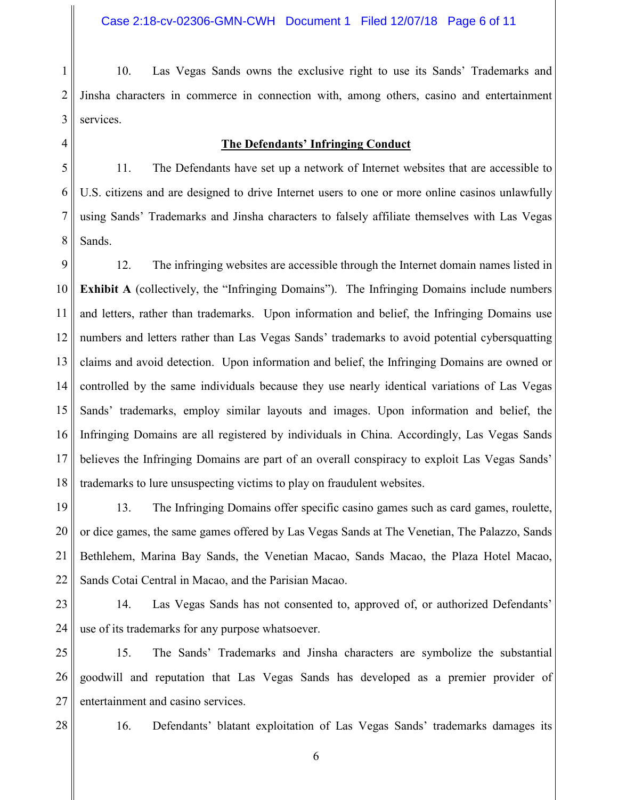1 2 3 10. Las Vegas Sands owns the exclusive right to use its Sands' Trademarks and Jinsha characters in commerce in connection with, among others, casino and entertainment services.

**The Defendants' Infringing Conduct**

5 6 7 8 11. The Defendants have set up a network of Internet websites that are accessible to U.S. citizens and are designed to drive Internet users to one or more online casinos unlawfully using Sands' Trademarks and Jinsha characters to falsely affiliate themselves with Las Vegas Sands.

9 10 11 12 13 14 15 16 17 18 12. The infringing websites are accessible through the Internet domain names listed in **Exhibit A** (collectively, the "Infringing Domains"). The Infringing Domains include numbers and letters, rather than trademarks. Upon information and belief, the Infringing Domains use numbers and letters rather than Las Vegas Sands' trademarks to avoid potential cybersquatting claims and avoid detection. Upon information and belief, the Infringing Domains are owned or controlled by the same individuals because they use nearly identical variations of Las Vegas Sands' trademarks, employ similar layouts and images. Upon information and belief, the Infringing Domains are all registered by individuals in China. Accordingly, Las Vegas Sands believes the Infringing Domains are part of an overall conspiracy to exploit Las Vegas Sands' trademarks to lure unsuspecting victims to play on fraudulent websites.

19 20 21 22 13. The Infringing Domains offer specific casino games such as card games, roulette, or dice games, the same games offered by Las Vegas Sands at The Venetian, The Palazzo, Sands Bethlehem, Marina Bay Sands, the Venetian Macao, Sands Macao, the Plaza Hotel Macao, Sands Cotai Central in Macao, and the Parisian Macao.

23

4

24 14. Las Vegas Sands has not consented to, approved of, or authorized Defendants' use of its trademarks for any purpose whatsoever.

25 26 27 15. The Sands' Trademarks and Jinsha characters are symbolize the substantial goodwill and reputation that Las Vegas Sands has developed as a premier provider of entertainment and casino services.

28

16. Defendants' blatant exploitation of Las Vegas Sands' trademarks damages its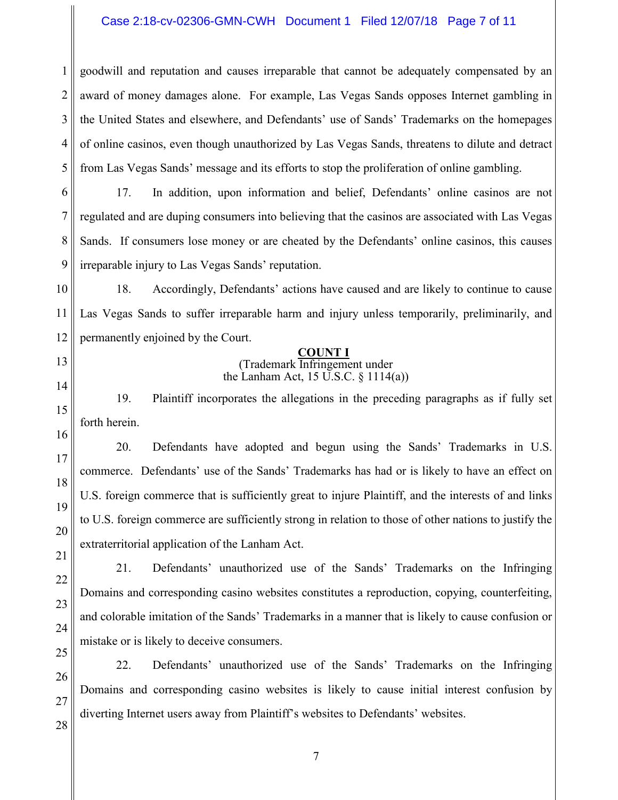## Case 2:18-cv-02306-GMN-CWH Document 1 Filed 12/07/18 Page 7 of 11

1 2 3 4 5 goodwill and reputation and causes irreparable that cannot be adequately compensated by an award of money damages alone. For example, Las Vegas Sands opposes Internet gambling in the United States and elsewhere, and Defendants' use of Sands' Trademarks on the homepages of online casinos, even though unauthorized by Las Vegas Sands, threatens to dilute and detract from Las Vegas Sands' message and its efforts to stop the proliferation of online gambling.

6 7 8 9 17. In addition, upon information and belief, Defendants' online casinos are not regulated and are duping consumers into believing that the casinos are associated with Las Vegas Sands. If consumers lose money or are cheated by the Defendants' online casinos, this causes irreparable injury to Las Vegas Sands' reputation.

10

11

12

18. Accordingly, Defendants' actions have caused and are likely to continue to cause Las Vegas Sands to suffer irreparable harm and injury unless temporarily, preliminarily, and permanently enjoined by the Court.

13

14

15

16

## **COUNT I** (Trademark Infringement under the Lanham Act, 15 U.S.C. § 1114(a))

19. Plaintiff incorporates the allegations in the preceding paragraphs as if fully set forth herein.

17 18 19 20 20. Defendants have adopted and begun using the Sands' Trademarks in U.S. commerce. Defendants' use of the Sands' Trademarks has had or is likely to have an effect on U.S. foreign commerce that is sufficiently great to injure Plaintiff, and the interests of and links to U.S. foreign commerce are sufficiently strong in relation to those of other nations to justify the extraterritorial application of the Lanham Act.

25

21. Defendants' unauthorized use of the Sands' Trademarks on the Infringing Domains and corresponding casino websites constitutes a reproduction, copying, counterfeiting, and colorable imitation of the Sands' Trademarks in a manner that is likely to cause confusion or mistake or is likely to deceive consumers.

26 27 22. Defendants' unauthorized use of the Sands' Trademarks on the Infringing Domains and corresponding casino websites is likely to cause initial interest confusion by diverting Internet users away from Plaintiff's websites to Defendants' websites.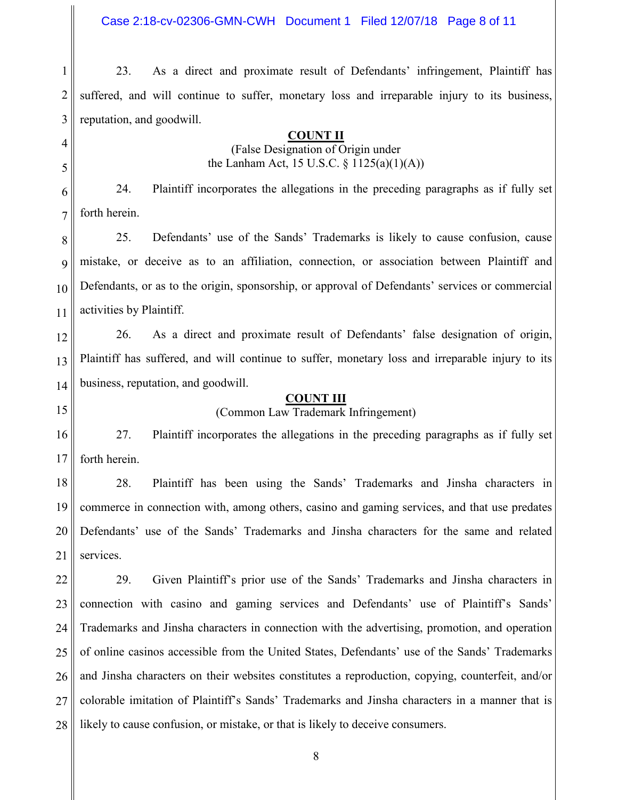Case 2:18-cv-02306-GMN-CWH Document 1 Filed 12/07/18 Page 8 of 11

1 2 3 23. As a direct and proximate result of Defendants' infringement, Plaintiff has suffered, and will continue to suffer, monetary loss and irreparable injury to its business, reputation, and goodwill.

4

5

15

## **COUNT II** (False Designation of Origin under the Lanham Act, 15 U.S.C. § 1125(a)(1)(A))

6 7 24. Plaintiff incorporates the allegations in the preceding paragraphs as if fully set forth herein.

8 9 10 11 25. Defendants' use of the Sands' Trademarks is likely to cause confusion, cause mistake, or deceive as to an affiliation, connection, or association between Plaintiff and Defendants, or as to the origin, sponsorship, or approval of Defendants' services or commercial activities by Plaintiff.

12 13 14 26. As a direct and proximate result of Defendants' false designation of origin, Plaintiff has suffered, and will continue to suffer, monetary loss and irreparable injury to its business, reputation, and goodwill.

**COUNT III**

(Common Law Trademark Infringement)

16 17 27. Plaintiff incorporates the allegations in the preceding paragraphs as if fully set forth herein.

18 19 20 21 28. Plaintiff has been using the Sands' Trademarks and Jinsha characters in commerce in connection with, among others, casino and gaming services, and that use predates Defendants' use of the Sands' Trademarks and Jinsha characters for the same and related services.

22 23 24 25 26 27 28 29. Given Plaintiff's prior use of the Sands' Trademarks and Jinsha characters in connection with casino and gaming services and Defendants' use of Plaintiff's Sands' Trademarks and Jinsha characters in connection with the advertising, promotion, and operation of online casinos accessible from the United States, Defendants' use of the Sands' Trademarks and Jinsha characters on their websites constitutes a reproduction, copying, counterfeit, and/or colorable imitation of Plaintiff's Sands' Trademarks and Jinsha characters in a manner that is likely to cause confusion, or mistake, or that is likely to deceive consumers.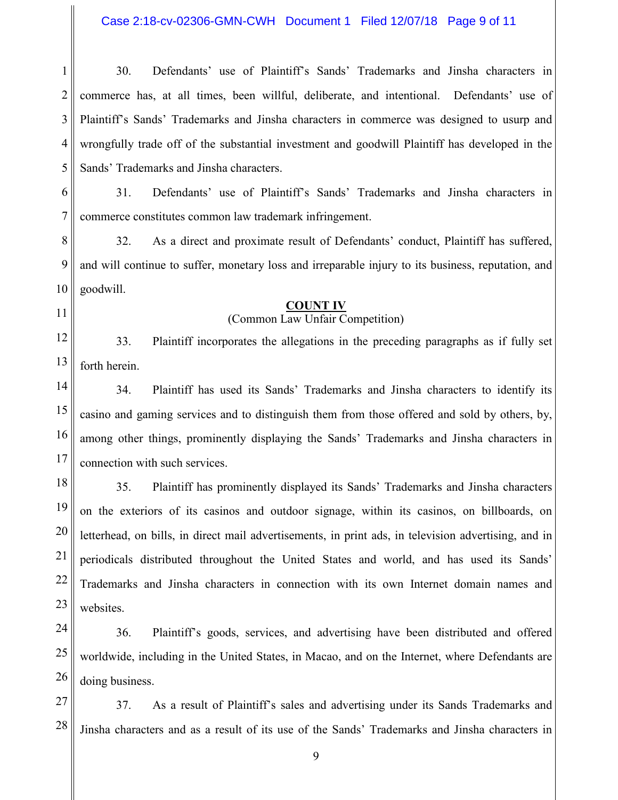Case 2:18-cv-02306-GMN-CWH Document 1 Filed 12/07/18 Page 9 of 11

1 2 3 4 5 30. Defendants' use of Plaintiff's Sands' Trademarks and Jinsha characters in commerce has, at all times, been willful, deliberate, and intentional. Defendants' use of Plaintiff's Sands' Trademarks and Jinsha characters in commerce was designed to usurp and wrongfully trade off of the substantial investment and goodwill Plaintiff has developed in the Sands' Trademarks and Jinsha characters.

6 7 31. Defendants' use of Plaintiff's Sands' Trademarks and Jinsha characters in commerce constitutes common law trademark infringement.

8 9 10 32. As a direct and proximate result of Defendants' conduct, Plaintiff has suffered, and will continue to suffer, monetary loss and irreparable injury to its business, reputation, and goodwill.

## **COUNT IV**

(Common Law Unfair Competition)

12 13 33. Plaintiff incorporates the allegations in the preceding paragraphs as if fully set forth herein.

11

14 15 16 17 34. Plaintiff has used its Sands' Trademarks and Jinsha characters to identify its casino and gaming services and to distinguish them from those offered and sold by others, by, among other things, prominently displaying the Sands' Trademarks and Jinsha characters in connection with such services.

18 19 20 21 22 23 35. Plaintiff has prominently displayed its Sands' Trademarks and Jinsha characters on the exteriors of its casinos and outdoor signage, within its casinos, on billboards, on letterhead, on bills, in direct mail advertisements, in print ads, in television advertising, and in periodicals distributed throughout the United States and world, and has used its Sands' Trademarks and Jinsha characters in connection with its own Internet domain names and websites.

24 25 26 36. Plaintiff's goods, services, and advertising have been distributed and offered worldwide, including in the United States, in Macao, and on the Internet, where Defendants are doing business.

27 28 37. As a result of Plaintiff's sales and advertising under its Sands Trademarks and Jinsha characters and as a result of its use of the Sands' Trademarks and Jinsha characters in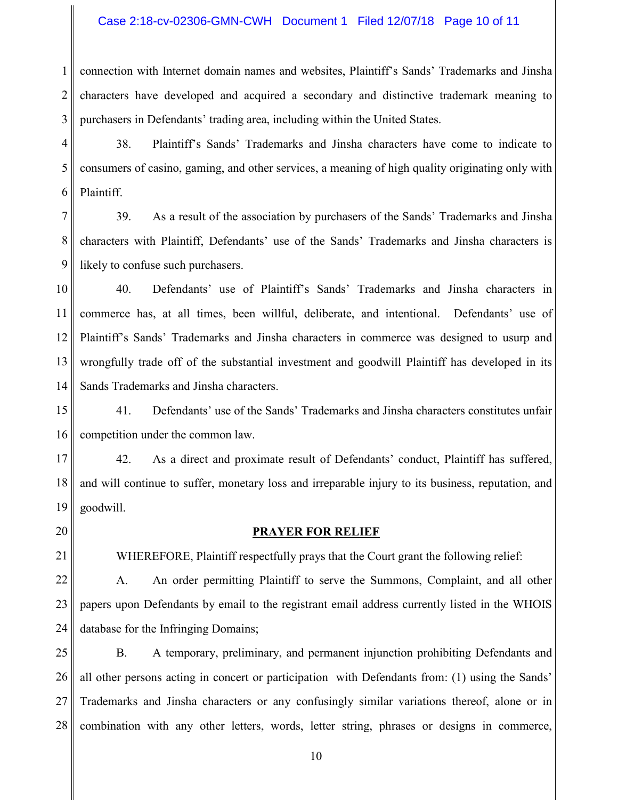## Case 2:18-cv-02306-GMN-CWH Document 1 Filed 12/07/18 Page 10 of 11

1 2 3 connection with Internet domain names and websites, Plaintiff's Sands' Trademarks and Jinsha characters have developed and acquired a secondary and distinctive trademark meaning to purchasers in Defendants' trading area, including within the United States.

4 5 6 38. Plaintiff's Sands' Trademarks and Jinsha characters have come to indicate to consumers of casino, gaming, and other services, a meaning of high quality originating only with Plaintiff.

7 8 9 39. As a result of the association by purchasers of the Sands' Trademarks and Jinsha characters with Plaintiff, Defendants' use of the Sands' Trademarks and Jinsha characters is likely to confuse such purchasers.

10 11 12 13 14 40. Defendants' use of Plaintiff's Sands' Trademarks and Jinsha characters in commerce has, at all times, been willful, deliberate, and intentional. Defendants' use of Plaintiff's Sands' Trademarks and Jinsha characters in commerce was designed to usurp and wrongfully trade off of the substantial investment and goodwill Plaintiff has developed in its Sands Trademarks and Jinsha characters.

15 16 41. Defendants' use of the Sands' Trademarks and Jinsha characters constitutes unfair competition under the common law.

17 18 19 42. As a direct and proximate result of Defendants' conduct, Plaintiff has suffered, and will continue to suffer, monetary loss and irreparable injury to its business, reputation, and goodwill.

20

21

#### **PRAYER FOR RELIEF**

WHEREFORE, Plaintiff respectfully prays that the Court grant the following relief:

22 23 24 A. An order permitting Plaintiff to serve the Summons, Complaint, and all other papers upon Defendants by email to the registrant email address currently listed in the WHOIS database for the Infringing Domains;

25 26 27 28 B. A temporary, preliminary, and permanent injunction prohibiting Defendants and all other persons acting in concert or participation with Defendants from: (1) using the Sands' Trademarks and Jinsha characters or any confusingly similar variations thereof, alone or in combination with any other letters, words, letter string, phrases or designs in commerce,